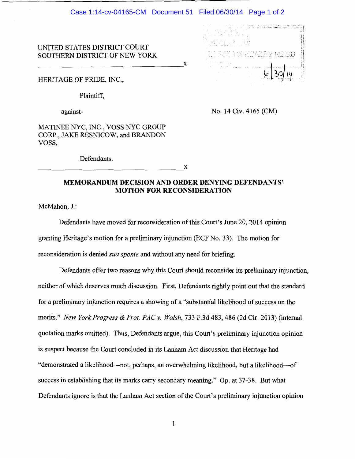$\mathbf x$ 

. "''' "., ..... ,,,,.,. .. , ,.,.

## UNITED STATES DISTRICT COURT SOUTHERN DISTRICT OF NEW YORK

HERITAGE OF PRIDE, INC.,

Plaintiff,

-against-

No. 14 Civ. 4165 (CM)

MATINEE NYC, INC., VOSS NYC GROUP CORP., JAKE RESNICOW, and BRANDON VOSS,

Defendants.

X

## **MEMORANDUM DECISION AND ORDER DENYING DEFENDANTS' MOTION FOR RECONSIDERATION**

McMahon, J.:

Defendants have moved for reconsideration of this Court's June 20, 2014 opinion granting Heritage's motion for a preliminary injunction (ECF No. 33). The motion for reconsideration is denied *sua sponte* and without any need for briefing.

Defendants offer two reasons why this Court should reconsider its preliminary injunction, neither of which deserves much discussion. First, Defendants rightly point out that the standard for a preliminary injunction requires a showing of a "substantial likelihood of success on the merits." *New York Progress* & *Prof. PAC v. Walsh,* 733 F.3d 483, 486 (2d Cir. 2013) (internal quotation marks omitted). Thus, Defendants argue, this Court's preliminary injunction opinion is suspect because the Court concluded in its Lanham Act discussion that Heritage had "demonstrated a likelihood—not, perhaps, an overwhelming likelihood, but a likelihood—of success in establishing that its marks carry secondary meaning." Op. at 37-38. But what Defendants ignore is that the Lanham Act section of the Court's preliminary injunction opinion